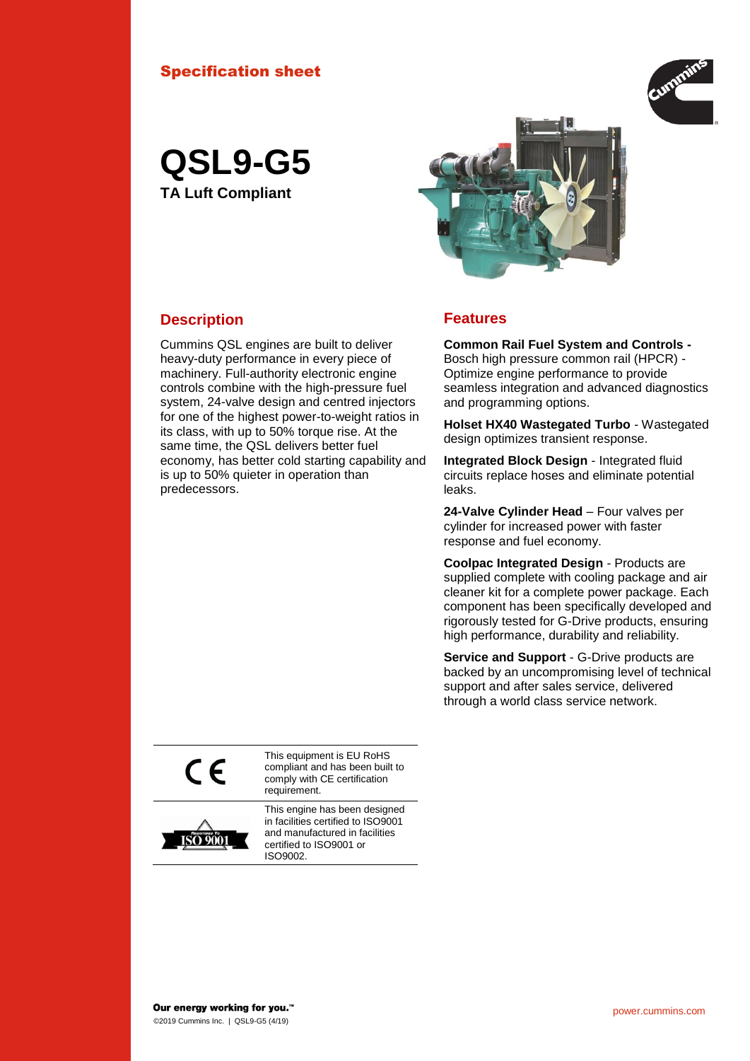#### Specification sheet



# **QSL9-G5 TA Luft Compliant**

#### **Description Features**

Cummins QSL engines are built to deliver heavy-duty performance in every piece of machinery. Full-authority electronic engine controls combine with the high-pressure fuel system, 24-valve design and centred injectors for one of the highest power-to-weight ratios in its class, with up to 50% torque rise. At the same time, the QSL delivers better fuel economy, has better cold starting capability and is up to 50% quieter in operation than predecessors.

**Common Rail Fuel System and Controls -** Bosch high pressure common rail (HPCR) -

Optimize engine performance to provide seamless integration and advanced diagnostics and programming options.

**Holset HX40 Wastegated Turbo** - Wastegated design optimizes transient response.

**Integrated Block Design** - Integrated fluid circuits replace hoses and eliminate potential leaks.

**24-Valve Cylinder Head** – Four valves per cylinder for increased power with faster response and fuel economy.

**Coolpac Integrated Design** - Products are supplied complete with cooling package and air cleaner kit for a complete power package. Each component has been specifically developed and rigorously tested for G-Drive products, ensuring high performance, durability and reliability.

**Service and Support** - G-Drive products are backed by an uncompromising level of technical support and after sales service, delivered through a world class service network.

 $C \in$ 

This equipment is EU RoHS compliant and has been built to comply with CE certification requirement.



This engine has been designed in facilities certified to ISO9001 and manufactured in facilities certified to ISO9001 or ISO9002.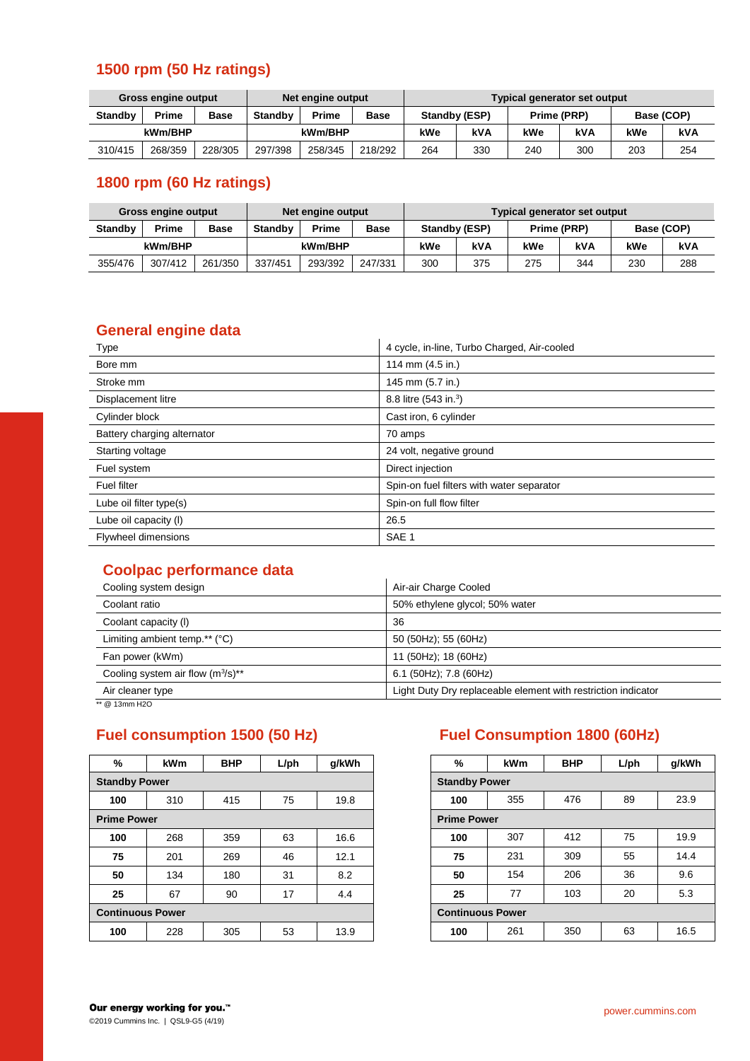# **1500 rpm (50 Hz ratings)**

| <b>Gross engine output</b> |         |         | Net engine output |         |             | Typical generator set output |            |             |     |            |     |
|----------------------------|---------|---------|-------------------|---------|-------------|------------------------------|------------|-------------|-----|------------|-----|
| <b>Standby</b>             | Prime   | Base    | <b>Standby</b>    | Prime   | <b>Base</b> | Standby (ESP)                |            | Prime (PRP) |     | Base (COP) |     |
| kWm/BHP                    |         | kWm/BHP |                   | kWe     | kVA         | kWe                          | <b>kVA</b> | kWe         | kVA |            |     |
| 310/415                    | 268/359 | 228/305 | 297/398           | 258/345 | 218/292     | 264                          | 330        | 240         | 300 | 203        | 254 |

# **1800 rpm (60 Hz ratings)**

| Gross engine output |         |             | Net engine output |              |             | Typical generator set output |     |             |     |            |     |
|---------------------|---------|-------------|-------------------|--------------|-------------|------------------------------|-----|-------------|-----|------------|-----|
| <b>Standby</b>      | Prime   | <b>Base</b> | <b>Standby</b>    | <b>Prime</b> | <b>Base</b> | Standby (ESP)                |     | Prime (PRP) |     | Base (COP) |     |
| kWm/BHP             |         |             |                   | kWm/BHP      |             | kWe                          | kVA | kWe         | kVA | kWe        | kVA |
| 355/476             | 307/412 | 261/350     | 337/451           | 293/392      | 247/331     | 300                          | 375 | 275         | 344 | 230        | 288 |

## **General engine data**

| Type                        | 4 cycle, in-line, Turbo Charged, Air-cooled |
|-----------------------------|---------------------------------------------|
| Bore mm                     | 114 mm (4.5 in.)                            |
| Stroke mm                   | 145 mm (5.7 in.)                            |
| Displacement litre          | 8.8 litre (543 in. <sup>3</sup> )           |
| Cylinder block              | Cast iron, 6 cylinder                       |
| Battery charging alternator | 70 amps                                     |
| Starting voltage            | 24 volt, negative ground                    |
| Fuel system                 | Direct injection                            |
| Fuel filter                 | Spin-on fuel filters with water separator   |
| Lube oil filter type(s)     | Spin-on full flow filter                    |
| Lube oil capacity (I)       | 26.5                                        |
| <b>Flywheel dimensions</b>  | SAE <sub>1</sub>                            |

## **Coolpac performance data**

| Cooling system design                  | Air-air Charge Cooled                                         |
|----------------------------------------|---------------------------------------------------------------|
| Coolant ratio                          | 50% ethylene glycol; 50% water                                |
| Coolant capacity (I)                   | 36                                                            |
| Limiting ambient temp.** $(°C)$        | 50 (50Hz); 55 (60Hz)                                          |
| Fan power (kWm)                        | 11 (50Hz); 18 (60Hz)                                          |
| Cooling system air flow $(m^3/s)^{**}$ | 6.1 (50Hz); 7.8 (60Hz)                                        |
| Air cleaner type                       | Light Duty Dry replaceable element with restriction indicator |
| ** @ 13mm H2O                          |                                                               |

| %                       | <b>kWm</b> | <b>BHP</b>              | $L$ /ph | q/kWh | %   | kWm |
|-------------------------|------------|-------------------------|---------|-------|-----|-----|
| <b>Standby Power</b>    |            | <b>Standby Power</b>    |         |       |     |     |
| 100                     | 310        | 415                     | 75      | 19.8  | 100 | 355 |
| <b>Prime Power</b>      |            | <b>Prime Power</b>      |         |       |     |     |
| 100                     | 268        | 359                     | 63      | 16.6  | 100 | 307 |
| 75                      | 201        | 269                     | 46      | 12.1  | 75  | 231 |
| 50                      | 134        | 180                     | 31      | 8.2   | 50  | 154 |
| 25                      | 67         | 90                      | 17      | 4.4   | 25  | 77  |
| <b>Continuous Power</b> |            | <b>Continuous Power</b> |         |       |     |     |
| 100                     | 228        | 305                     | 53      | 13.9  | 100 | 261 |
|                         |            |                         |         |       |     |     |

# **Fuel consumption 1500 (50 Hz) Fuel Consumption 1800 (60Hz)**

| %        | <b>kWm</b>         | <b>BHP</b> | $L$ /ph | g/kWh |
|----------|--------------------|------------|---------|-------|
|          | <b>andby Power</b> |            |         |       |
| 100      | 310                | 415        | 75      | 19.8  |
| me Power |                    |            |         |       |
| 100      | 268                | 359        | 63      | 16.6  |
| 75       | 201                | 269        | 46      | 12.1  |
| 50       | 134                | 180        | 31      | 8.2   |
| 25       | 67                 | 90         | 17      | 4.4   |
|          | ntinuous Power     |            |         |       |
| 100      | 228                | 305        | 53      | 13.9  |